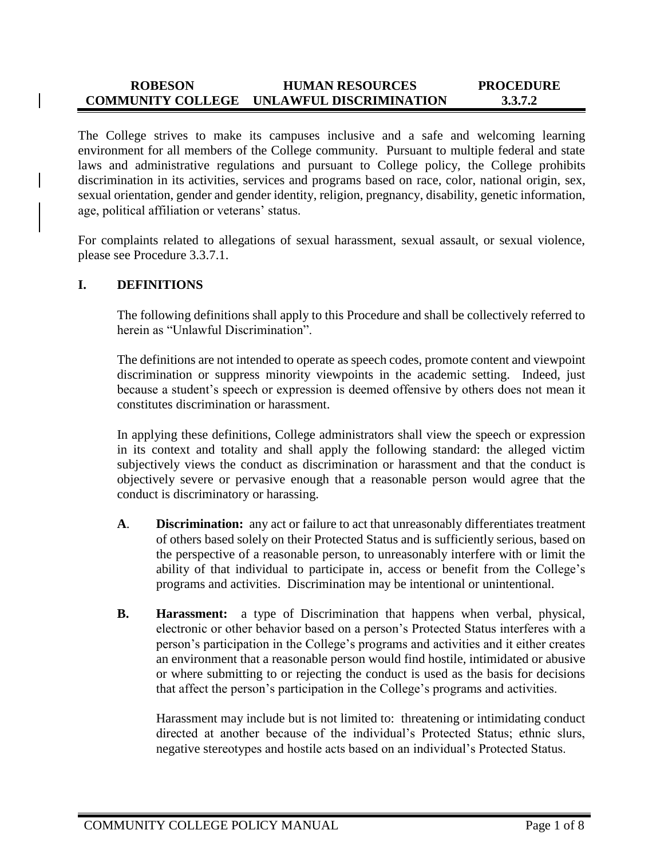#### **ROBESON COMMUNITY COLLEGE UNLAWFUL DISCRIMINATION HUMAN RESOURCES PROCEDURE 3.3.7.2**

The College strives to make its campuses inclusive and a safe and welcoming learning environment for all members of the College community. Pursuant to multiple federal and state laws and administrative regulations and pursuant to College policy, the College prohibits discrimination in its activities, services and programs based on race, color, national origin, sex, sexual orientation, gender and gender identity, religion, pregnancy, disability, genetic information, age, political affiliation or veterans' status.

For complaints related to allegations of sexual harassment, sexual assault, or sexual violence, please see Procedure 3.3.7.1.

#### **I. DEFINITIONS**

The following definitions shall apply to this Procedure and shall be collectively referred to herein as "Unlawful Discrimination".

The definitions are not intended to operate as speech codes, promote content and viewpoint discrimination or suppress minority viewpoints in the academic setting. Indeed, just because a student's speech or expression is deemed offensive by others does not mean it constitutes discrimination or harassment.

In applying these definitions, College administrators shall view the speech or expression in its context and totality and shall apply the following standard: the alleged victim subjectively views the conduct as discrimination or harassment and that the conduct is objectively severe or pervasive enough that a reasonable person would agree that the conduct is discriminatory or harassing.

- **A**. **Discrimination:** any act or failure to act that unreasonably differentiates treatment of others based solely on their Protected Status and is sufficiently serious, based on the perspective of a reasonable person, to unreasonably interfere with or limit the ability of that individual to participate in, access or benefit from the College's programs and activities. Discrimination may be intentional or unintentional.
- **B. Harassment:** a type of Discrimination that happens when verbal, physical, electronic or other behavior based on a person's Protected Status interferes with a person's participation in the College's programs and activities and it either creates an environment that a reasonable person would find hostile, intimidated or abusive or where submitting to or rejecting the conduct is used as the basis for decisions that affect the person's participation in the College's programs and activities.

Harassment may include but is not limited to: threatening or intimidating conduct directed at another because of the individual's Protected Status; ethnic slurs, negative stereotypes and hostile acts based on an individual's Protected Status.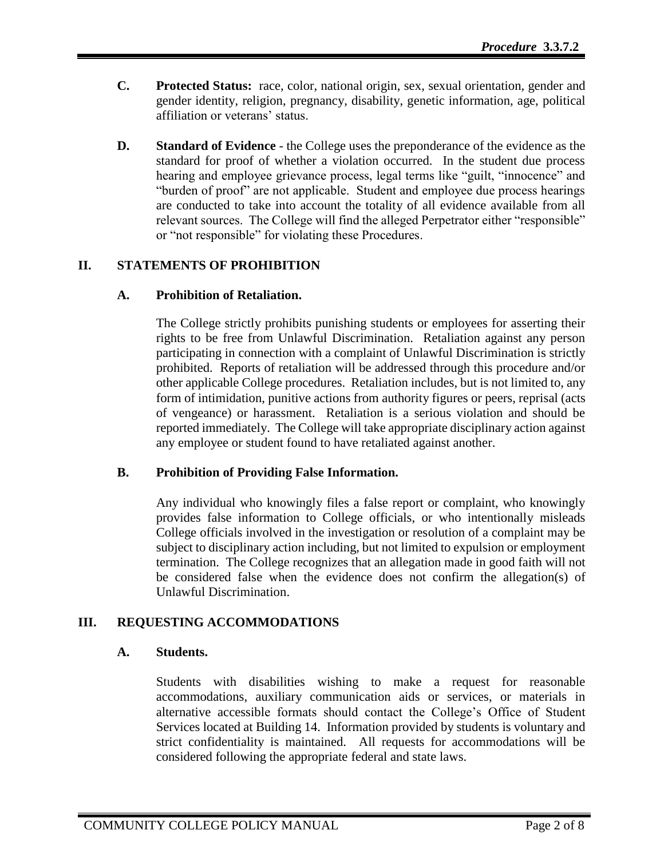- **C. Protected Status:** race, color, national origin, sex, sexual orientation, gender and gender identity, religion, pregnancy, disability, genetic information, age, political affiliation or veterans' status.
- **D. Standard of Evidence**  the College uses the preponderance of the evidence as the standard for proof of whether a violation occurred. In the student due process hearing and employee grievance process, legal terms like "guilt, "innocence" and "burden of proof" are not applicable. Student and employee due process hearings are conducted to take into account the totality of all evidence available from all relevant sources. The College will find the alleged Perpetrator either "responsible" or "not responsible" for violating these Procedures.

# **II. STATEMENTS OF PROHIBITION**

#### **A. Prohibition of Retaliation.**

The College strictly prohibits punishing students or employees for asserting their rights to be free from Unlawful Discrimination. Retaliation against any person participating in connection with a complaint of Unlawful Discrimination is strictly prohibited. Reports of retaliation will be addressed through this procedure and/or other applicable College procedures. Retaliation includes, but is not limited to, any form of intimidation, punitive actions from authority figures or peers, reprisal (acts of vengeance) or harassment. Retaliation is a serious violation and should be reported immediately. The College will take appropriate disciplinary action against any employee or student found to have retaliated against another.

#### **B. Prohibition of Providing False Information.**

Any individual who knowingly files a false report or complaint, who knowingly provides false information to College officials, or who intentionally misleads College officials involved in the investigation or resolution of a complaint may be subject to disciplinary action including, but not limited to expulsion or employment termination. The College recognizes that an allegation made in good faith will not be considered false when the evidence does not confirm the allegation(s) of Unlawful Discrimination.

## **III. REQUESTING ACCOMMODATIONS**

## **A. Students.**

Students with disabilities wishing to make a request for reasonable accommodations, auxiliary communication aids or services, or materials in alternative accessible formats should contact the College's Office of Student Services located at Building 14. Information provided by students is voluntary and strict confidentiality is maintained. All requests for accommodations will be considered following the appropriate federal and state laws.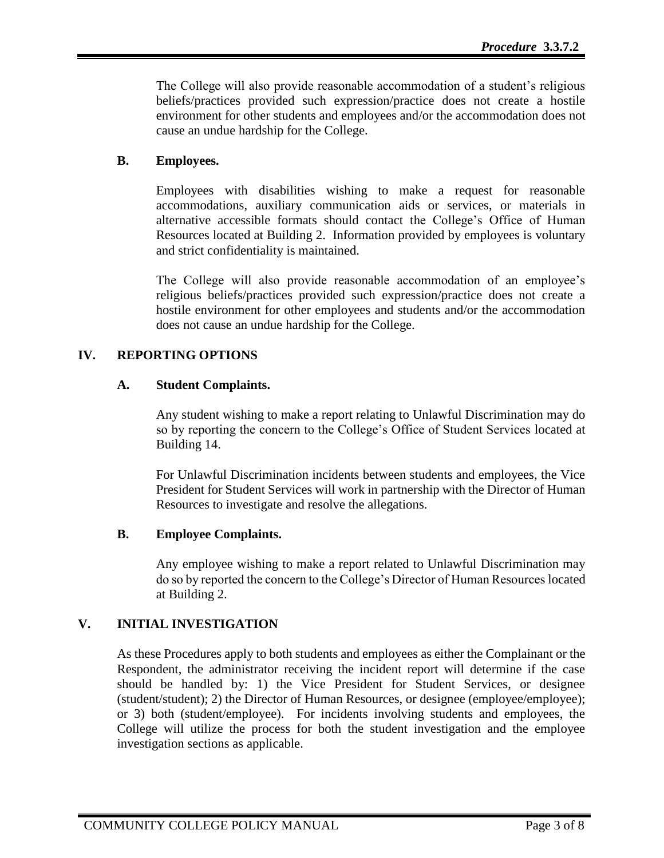The College will also provide reasonable accommodation of a student's religious beliefs/practices provided such expression/practice does not create a hostile environment for other students and employees and/or the accommodation does not cause an undue hardship for the College.

## **B. Employees.**

Employees with disabilities wishing to make a request for reasonable accommodations, auxiliary communication aids or services, or materials in alternative accessible formats should contact the College's Office of Human Resources located at Building 2. Information provided by employees is voluntary and strict confidentiality is maintained.

The College will also provide reasonable accommodation of an employee's religious beliefs/practices provided such expression/practice does not create a hostile environment for other employees and students and/or the accommodation does not cause an undue hardship for the College.

## **IV. REPORTING OPTIONS**

## **A. Student Complaints.**

Any student wishing to make a report relating to Unlawful Discrimination may do so by reporting the concern to the College's Office of Student Services located at Building 14.

For Unlawful Discrimination incidents between students and employees, the Vice President for Student Services will work in partnership with the Director of Human Resources to investigate and resolve the allegations.

## **B. Employee Complaints.**

Any employee wishing to make a report related to Unlawful Discrimination may do so by reported the concern to the College's Director of Human Resources located at Building 2.

## **V. INITIAL INVESTIGATION**

As these Procedures apply to both students and employees as either the Complainant or the Respondent, the administrator receiving the incident report will determine if the case should be handled by: 1) the Vice President for Student Services, or designee (student/student); 2) the Director of Human Resources, or designee (employee/employee); or 3) both (student/employee). For incidents involving students and employees, the College will utilize the process for both the student investigation and the employee investigation sections as applicable.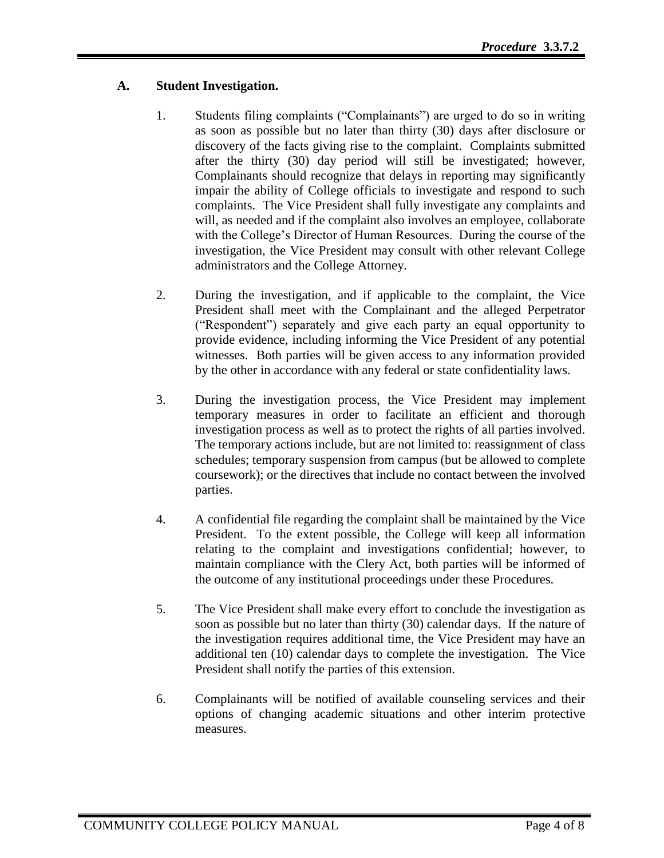# **A. Student Investigation.**

- 1. Students filing complaints ("Complainants") are urged to do so in writing as soon as possible but no later than thirty (30) days after disclosure or discovery of the facts giving rise to the complaint. Complaints submitted after the thirty (30) day period will still be investigated; however, Complainants should recognize that delays in reporting may significantly impair the ability of College officials to investigate and respond to such complaints. The Vice President shall fully investigate any complaints and will, as needed and if the complaint also involves an employee, collaborate with the College's Director of Human Resources. During the course of the investigation, the Vice President may consult with other relevant College administrators and the College Attorney.
- 2. During the investigation, and if applicable to the complaint, the Vice President shall meet with the Complainant and the alleged Perpetrator ("Respondent") separately and give each party an equal opportunity to provide evidence, including informing the Vice President of any potential witnesses. Both parties will be given access to any information provided by the other in accordance with any federal or state confidentiality laws.
- 3. During the investigation process, the Vice President may implement temporary measures in order to facilitate an efficient and thorough investigation process as well as to protect the rights of all parties involved. The temporary actions include, but are not limited to: reassignment of class schedules; temporary suspension from campus (but be allowed to complete coursework); or the directives that include no contact between the involved parties.
- 4. A confidential file regarding the complaint shall be maintained by the Vice President. To the extent possible, the College will keep all information relating to the complaint and investigations confidential; however, to maintain compliance with the Clery Act, both parties will be informed of the outcome of any institutional proceedings under these Procedures.
- 5. The Vice President shall make every effort to conclude the investigation as soon as possible but no later than thirty (30) calendar days. If the nature of the investigation requires additional time, the Vice President may have an additional ten (10) calendar days to complete the investigation. The Vice President shall notify the parties of this extension.
- 6. Complainants will be notified of available counseling services and their options of changing academic situations and other interim protective measures.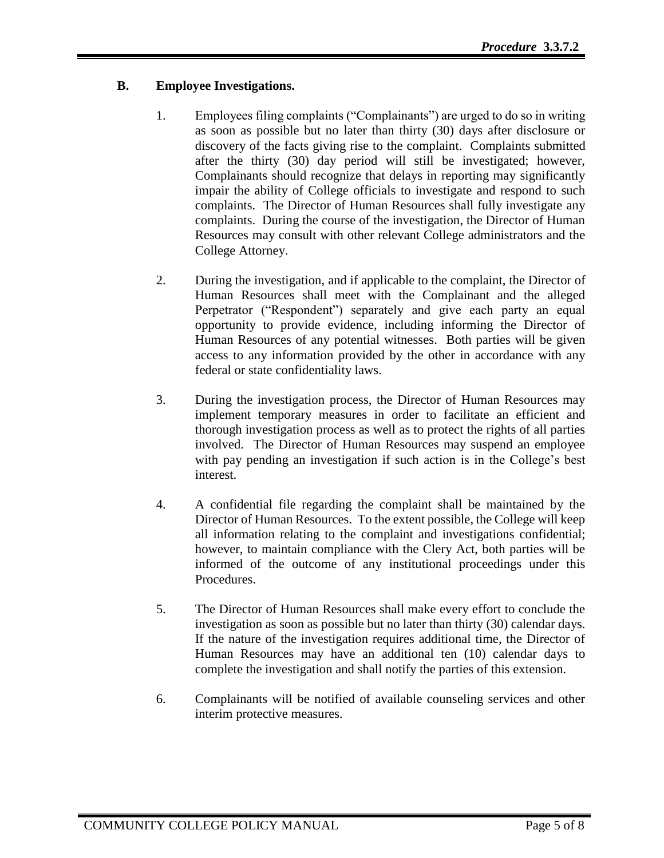# **B. Employee Investigations.**

- 1. Employees filing complaints ("Complainants") are urged to do so in writing as soon as possible but no later than thirty (30) days after disclosure or discovery of the facts giving rise to the complaint. Complaints submitted after the thirty (30) day period will still be investigated; however, Complainants should recognize that delays in reporting may significantly impair the ability of College officials to investigate and respond to such complaints. The Director of Human Resources shall fully investigate any complaints. During the course of the investigation, the Director of Human Resources may consult with other relevant College administrators and the College Attorney.
- 2. During the investigation, and if applicable to the complaint, the Director of Human Resources shall meet with the Complainant and the alleged Perpetrator ("Respondent") separately and give each party an equal opportunity to provide evidence, including informing the Director of Human Resources of any potential witnesses. Both parties will be given access to any information provided by the other in accordance with any federal or state confidentiality laws.
- 3. During the investigation process, the Director of Human Resources may implement temporary measures in order to facilitate an efficient and thorough investigation process as well as to protect the rights of all parties involved. The Director of Human Resources may suspend an employee with pay pending an investigation if such action is in the College's best interest.
- 4. A confidential file regarding the complaint shall be maintained by the Director of Human Resources. To the extent possible, the College will keep all information relating to the complaint and investigations confidential; however, to maintain compliance with the Clery Act, both parties will be informed of the outcome of any institutional proceedings under this Procedures.
- 5. The Director of Human Resources shall make every effort to conclude the investigation as soon as possible but no later than thirty (30) calendar days. If the nature of the investigation requires additional time, the Director of Human Resources may have an additional ten (10) calendar days to complete the investigation and shall notify the parties of this extension.
- 6. Complainants will be notified of available counseling services and other interim protective measures.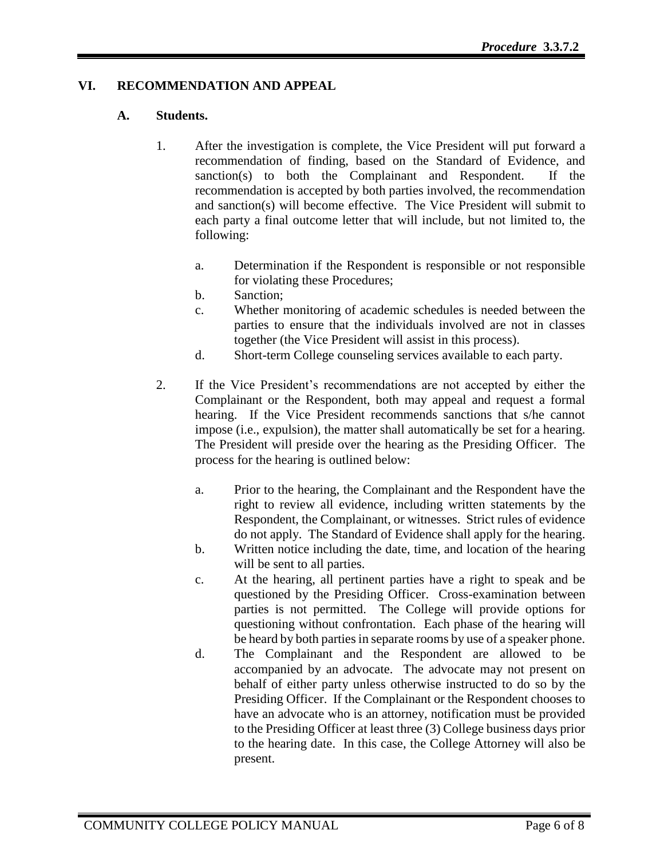## **VI. RECOMMENDATION AND APPEAL**

#### **A. Students.**

- 1. After the investigation is complete, the Vice President will put forward a recommendation of finding, based on the Standard of Evidence, and sanction(s) to both the Complainant and Respondent. If the recommendation is accepted by both parties involved, the recommendation and sanction(s) will become effective. The Vice President will submit to each party a final outcome letter that will include, but not limited to, the following:
	- a. Determination if the Respondent is responsible or not responsible for violating these Procedures;
	- b. Sanction;
	- c. Whether monitoring of academic schedules is needed between the parties to ensure that the individuals involved are not in classes together (the Vice President will assist in this process).
	- d. Short-term College counseling services available to each party.
- 2. If the Vice President's recommendations are not accepted by either the Complainant or the Respondent, both may appeal and request a formal hearing. If the Vice President recommends sanctions that s/he cannot impose (i.e., expulsion), the matter shall automatically be set for a hearing. The President will preside over the hearing as the Presiding Officer. The process for the hearing is outlined below:
	- a. Prior to the hearing, the Complainant and the Respondent have the right to review all evidence, including written statements by the Respondent, the Complainant, or witnesses. Strict rules of evidence do not apply. The Standard of Evidence shall apply for the hearing.
	- b. Written notice including the date, time, and location of the hearing will be sent to all parties.
	- c. At the hearing, all pertinent parties have a right to speak and be questioned by the Presiding Officer. Cross-examination between parties is not permitted. The College will provide options for questioning without confrontation. Each phase of the hearing will be heard by both parties in separate rooms by use of a speaker phone.
	- d. The Complainant and the Respondent are allowed to be accompanied by an advocate. The advocate may not present on behalf of either party unless otherwise instructed to do so by the Presiding Officer. If the Complainant or the Respondent chooses to have an advocate who is an attorney, notification must be provided to the Presiding Officer at least three (3) College business days prior to the hearing date. In this case, the College Attorney will also be present.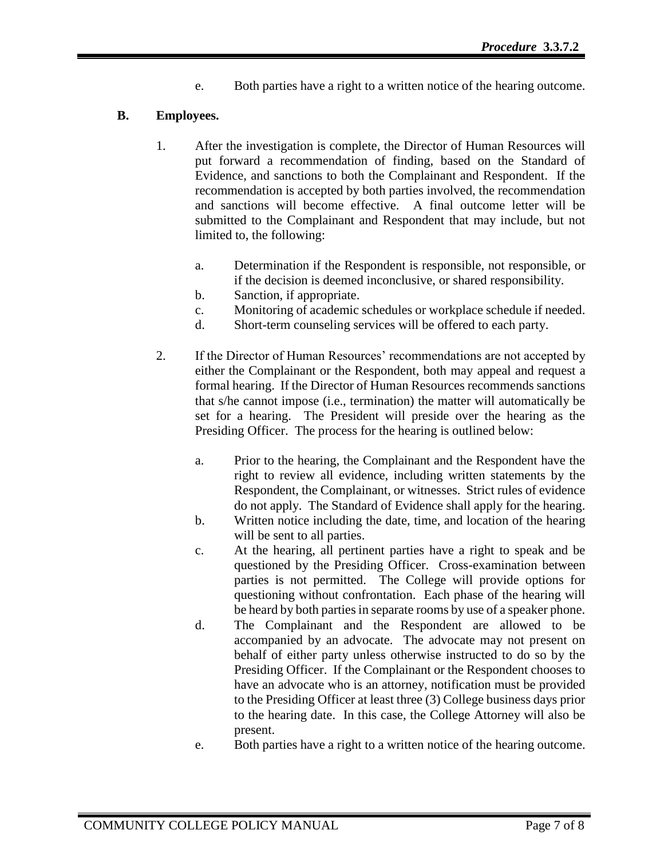e. Both parties have a right to a written notice of the hearing outcome.

## **B. Employees.**

- 1. After the investigation is complete, the Director of Human Resources will put forward a recommendation of finding, based on the Standard of Evidence, and sanctions to both the Complainant and Respondent. If the recommendation is accepted by both parties involved, the recommendation and sanctions will become effective. A final outcome letter will be submitted to the Complainant and Respondent that may include, but not limited to, the following:
	- a. Determination if the Respondent is responsible, not responsible, or if the decision is deemed inconclusive, or shared responsibility.
	- b. Sanction, if appropriate.
	- c. Monitoring of academic schedules or workplace schedule if needed.
	- d. Short-term counseling services will be offered to each party.
- 2. If the Director of Human Resources' recommendations are not accepted by either the Complainant or the Respondent, both may appeal and request a formal hearing. If the Director of Human Resources recommends sanctions that s/he cannot impose (i.e., termination) the matter will automatically be set for a hearing. The President will preside over the hearing as the Presiding Officer. The process for the hearing is outlined below:
	- a. Prior to the hearing, the Complainant and the Respondent have the right to review all evidence, including written statements by the Respondent, the Complainant, or witnesses. Strict rules of evidence do not apply. The Standard of Evidence shall apply for the hearing.
	- b. Written notice including the date, time, and location of the hearing will be sent to all parties.
	- c. At the hearing, all pertinent parties have a right to speak and be questioned by the Presiding Officer. Cross-examination between parties is not permitted. The College will provide options for questioning without confrontation. Each phase of the hearing will be heard by both parties in separate rooms by use of a speaker phone.
	- d. The Complainant and the Respondent are allowed to be accompanied by an advocate. The advocate may not present on behalf of either party unless otherwise instructed to do so by the Presiding Officer. If the Complainant or the Respondent chooses to have an advocate who is an attorney, notification must be provided to the Presiding Officer at least three (3) College business days prior to the hearing date. In this case, the College Attorney will also be present.
	- e. Both parties have a right to a written notice of the hearing outcome.